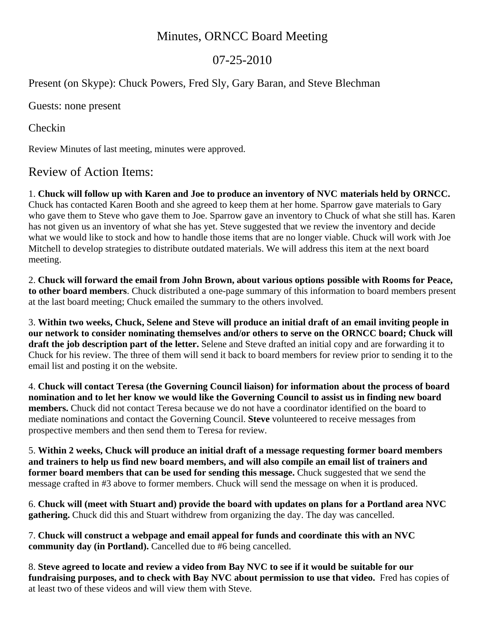## Minutes, ORNCC Board Meeting

## 07-25-2010

Present (on Skype): Chuck Powers, Fred Sly, Gary Baran, and Steve Blechman

Guests: none present

Checkin

Review Minutes of last meeting, minutes were approved.

## Review of Action Items:

1. **Chuck will follow up with Karen and Joe to produce an inventory of NVC materials held by ORNCC.**  Chuck has contacted Karen Booth and she agreed to keep them at her home. Sparrow gave materials to Gary who gave them to Steve who gave them to Joe. Sparrow gave an inventory to Chuck of what she still has. Karen has not given us an inventory of what she has yet. Steve suggested that we review the inventory and decide what we would like to stock and how to handle those items that are no longer viable. Chuck will work with Joe Mitchell to develop strategies to distribute outdated materials. We will address this item at the next board meeting.

2. **Chuck will forward the email from John Brown, about various options possible with Rooms for Peace, to other board members**. Chuck distributed a one-page summary of this information to board members present at the last board meeting; Chuck emailed the summary to the others involved.

3. **Within two weeks, Chuck, Selene and Steve will produce an initial draft of an email inviting people in our network to consider nominating themselves and/or others to serve on the ORNCC board; Chuck will draft the job description part of the letter.** Selene and Steve drafted an initial copy and are forwarding it to Chuck for his review. The three of them will send it back to board members for review prior to sending it to the email list and posting it on the website.

4. **Chuck will contact Teresa (the Governing Council liaison) for information about the process of board nomination and to let her know we would like the Governing Council to assist us in finding new board members.** Chuck did not contact Teresa because we do not have a coordinator identified on the board to mediate nominations and contact the Governing Council. **Steve** volunteered to receive messages from prospective members and then send them to Teresa for review.

5. **Within 2 weeks, Chuck will produce an initial draft of a message requesting former board members and trainers to help us find new board members, and will also compile an email list of trainers and former board members that can be used for sending this message.** Chuck suggested that we send the message crafted in #3 above to former members. Chuck will send the message on when it is produced.

6. **Chuck will (meet with Stuart and) provide the board with updates on plans for a Portland area NVC gathering.** Chuck did this and Stuart withdrew from organizing the day. The day was cancelled.

7. **Chuck will construct a webpage and email appeal for funds and coordinate this with an NVC community day (in Portland).** Cancelled due to #6 being cancelled.

8. **Steve agreed to locate and review a video from Bay NVC to see if it would be suitable for our fundraising purposes, and to check with Bay NVC about permission to use that video.** Fred has copies of at least two of these videos and will view them with Steve.